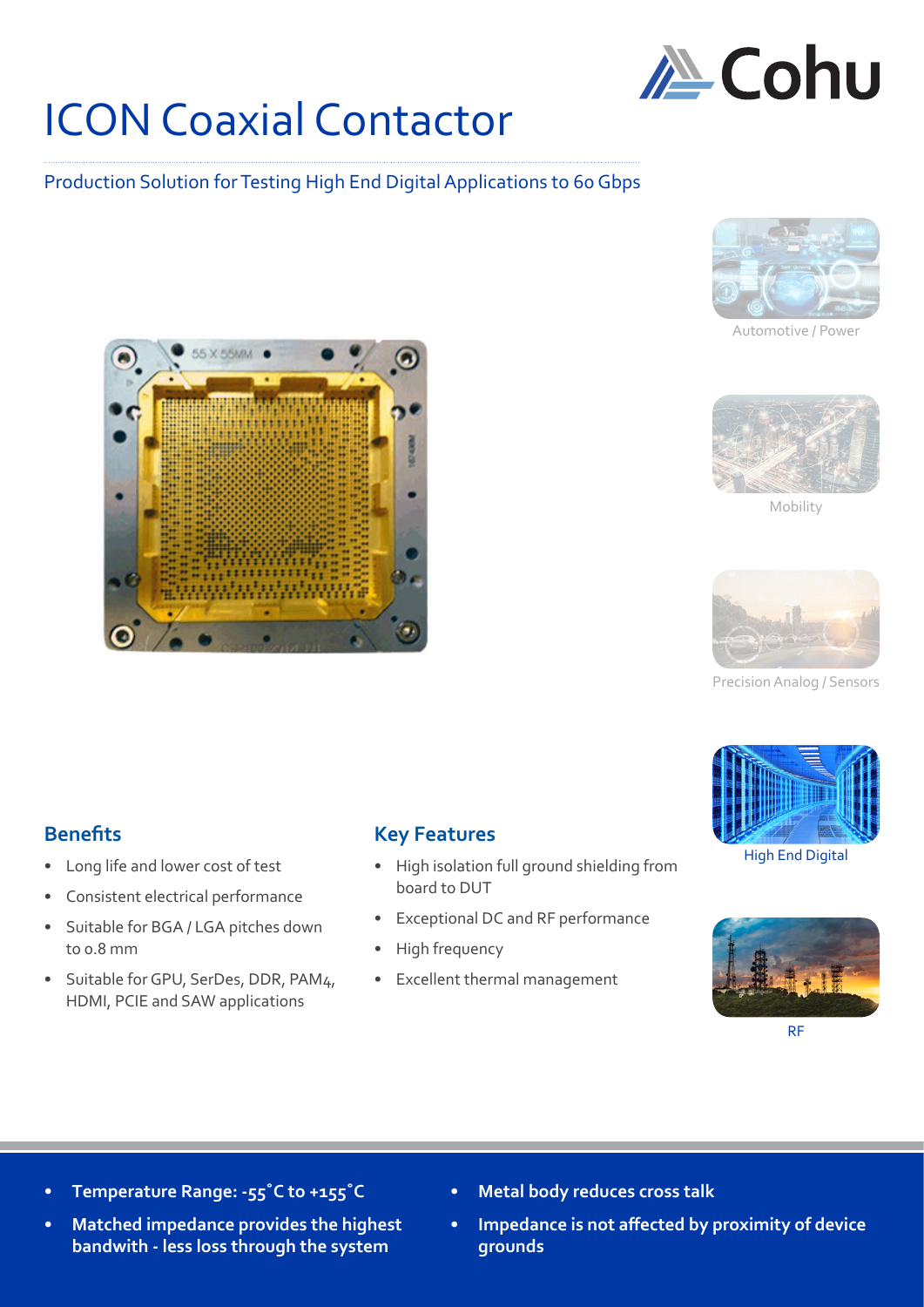

## ICON Coaxial Contactor

## Production Solution for Testing High End Digital Applications to 60 Gbps



Automotive / Powe



Mobility



Precision Analog / Sensors



High End Digital



**Benefits**

- Long life and lower cost of test
- Consistent electrical performance
- Suitable for BGA / LGA pitches down to 0.8 mm
- Suitable for GPU, SerDes, DDR, PAM4, HDMI, PCIE and SAW applications

## **Key Features**

- High isolation full ground shielding from board to DUT
- Exceptional DC and RF performance
- High frequency
- Excellent thermal management

- **• Temperature Range: -55˚C to +155˚C**
- **• Matched impedance provides the highest bandwith - less loss through the system**
- **• Metal body reduces cross talk**
- **• Impedance is not affected by proximity of device grounds**